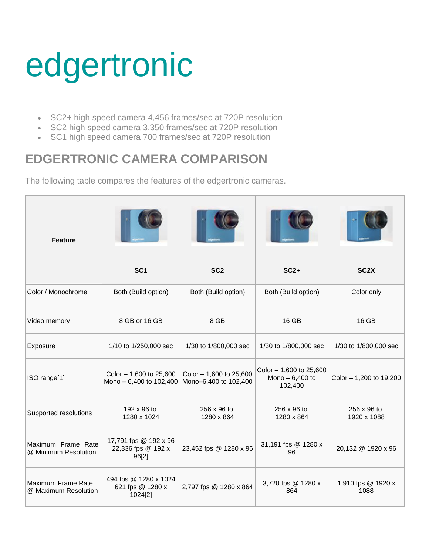## edgertronic

- SC2+ high speed camera 4,456 frames/sec at 720P resolution
- SC2 high speed camera 3,350 frames/sec at 720P resolution
- SC1 high speed camera 700 frames/sec at 720P resolution

## **EDGERTRONIC CAMERA COMPARISON**

The following table compares the features of the edgertronic cameras.

| <b>Feature</b>                             |                                                      |                                                  |                                                        |                            |
|--------------------------------------------|------------------------------------------------------|--------------------------------------------------|--------------------------------------------------------|----------------------------|
|                                            | SC <sub>1</sub>                                      | SC <sub>2</sub>                                  | $SC2+$                                                 | SC <sub>2</sub> X          |
| Color / Monochrome                         | Both (Build option)                                  | Both (Build option)                              | Both (Build option)                                    | Color only                 |
| Video memory                               | 8 GB or 16 GB                                        | 8 GB                                             | 16 GB                                                  | 16 GB                      |
| Exposure                                   | 1/10 to 1/250,000 sec                                | 1/30 to 1/800,000 sec                            | 1/30 to 1/800,000 sec                                  | 1/30 to 1/800,000 sec      |
| ISO range[1]                               | Color - 1,600 to 25,600<br>Mono - 6,400 to 102,400   | Color - 1,600 to 25,600<br>Mono-6,400 to 102,400 | Color - 1,600 to 25,600<br>Mono $-6,400$ to<br>102,400 | Color - 1,200 to 19,200    |
| Supported resolutions                      | 192 x 96 to<br>1280 x 1024                           | 256 x 96 to<br>1280 x 864                        | 256 x 96 to<br>1280 x 864                              | 256 x 96 to<br>1920 x 1088 |
| Maximum Frame Rate<br>@ Minimum Resolution | 17,791 fps @ 192 x 96<br>22,336 fps @ 192 x<br>96[2] | 23,452 fps @ 1280 x 96                           | 31,191 fps @ 1280 x<br>96                              | 20,132 @ 1920 x 96         |
| Maximum Frame Rate<br>@ Maximum Resolution | 494 fps @ 1280 x 1024<br>621 fps @ 1280 x<br>1024[2] | 2,797 fps @ 1280 x 864                           | 3,720 fps @ 1280 x<br>864                              | 1,910 fps @ 1920 x<br>1088 |